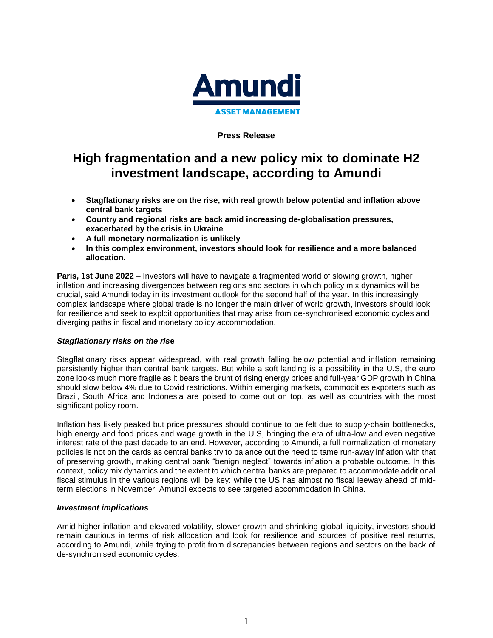

## **Press Release**

# **High fragmentation and a new policy mix to dominate H2 investment landscape, according to Amundi**

- **Stagflationary risks are on the rise, with real growth below potential and inflation above central bank targets**
- **Country and regional risks are back amid increasing de-globalisation pressures, exacerbated by the crisis in Ukraine**
- **A full monetary normalization is unlikely**
- **In this complex environment, investors should look for resilience and a more balanced allocation.**

**Paris, 1st June 2022** – Investors will have to navigate a fragmented world of slowing growth, higher inflation and increasing divergences between regions and sectors in which policy mix dynamics will be crucial, said Amundi today in its investment outlook for the second half of the year. In this increasingly complex landscape where global trade is no longer the main driver of world growth, investors should look for resilience and seek to exploit opportunities that may arise from de-synchronised economic cycles and diverging paths in fiscal and monetary policy accommodation.

#### *Stagflationary risks on the ris***e**

Stagflationary risks appear widespread, with real growth falling below potential and inflation remaining persistently higher than central bank targets. But while a soft landing is a possibility in the U.S, the euro zone looks much more fragile as it bears the brunt of rising energy prices and full-year GDP growth in China should slow below 4% due to Covid restrictions. Within emerging markets, commodities exporters such as Brazil, South Africa and Indonesia are poised to come out on top, as well as countries with the most significant policy room.

Inflation has likely peaked but price pressures should continue to be felt due to supply-chain bottlenecks, high energy and food prices and wage growth in the U.S, bringing the era of ultra-low and even negative interest rate of the past decade to an end. However, according to Amundi, a full normalization of monetary policies is not on the cards as central banks try to balance out the need to tame run-away inflation with that of preserving growth, making central bank "benign neglect" towards inflation a probable outcome. In this context, policy mix dynamics and the extent to which central banks are prepared to accommodate additional fiscal stimulus in the various regions will be key: while the US has almost no fiscal leeway ahead of midterm elections in November, Amundi expects to see targeted accommodation in China.

#### *Investment implications*

Amid higher inflation and elevated volatility, slower growth and shrinking global liquidity, investors should remain cautious in terms of risk allocation and look for resilience and sources of positive real returns, according to Amundi, while trying to profit from discrepancies between regions and sectors on the back of de-synchronised economic cycles.